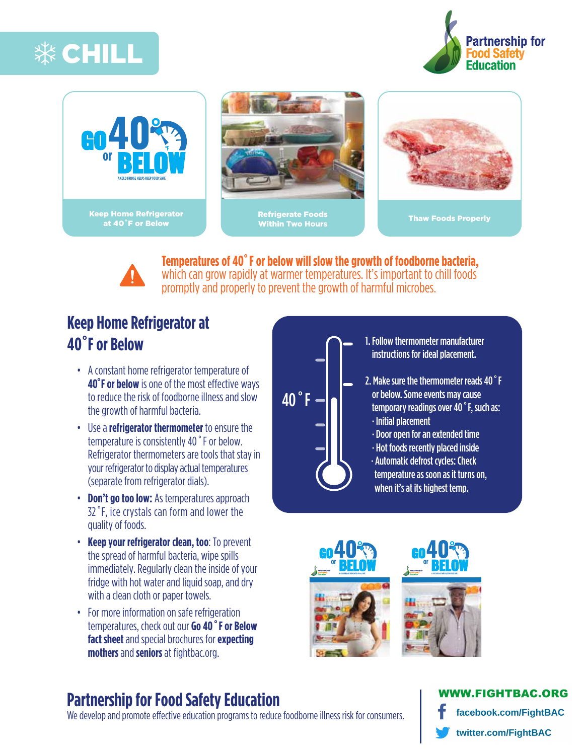







**Temperatures of 40 ˚F or below will slow the growth of foodborne bacteria,** which can grow rapidly at warmer temperatures. It's important to chill foods promptly and properly to prevent the growth of harmful microbes.

# **Keep Home Refrigerator at 40˚F or Below**

- A constant home refrigerator temperature of **40°F or below** is one of the most effective ways to reduce the risk of foodborne illness and slow the growth of harmful bacteria.
- Use a **refrigerator thermometer** to ensure the temperature is consistently 40˚F or below. Refrigerator thermometers are tools that stayin your refrigerator to display actual temperatures (separate from refrigerator dials).
- **Don't go too low:** As temperatures approach 32˚F, ice crystals can form and lower the quality of foods.
- **Keep your refrigerator clean, too**: To prevent the spread of harmful bacteria, wipe spills immediately. Regularly clean the inside of your fridge with hot water and liquid soap, and dry with a clean cloth or paper towels.
- For more information on safe refrigeration [temperatures, check out our](http://www.fightbac.org/wp-content/uploads/2015/10/Science-Behind-Messages_Go40orBelow_FNLR6.pdf) **Go 40˚F or Below fact sheet** [and special brochures for](http://www.fightbac.org/wp-content/uploads/2015/09/Go40orBelow_Brochure-ENG-Expecting-MothersR7FNL.pdf) **expecting mothers** and **[seniors](http://www.fightbac.org/wp-content/uploads/2015/09/Go40orBelow_Brochure-ENG-Seniors_R4FNL.pdf)** at fightbac.org.

# 40˚F

- 1. Follow thermometer manufacturer instructions for ideal placement.
- 2. Make sure the thermometer reads 40˚F or below. Some events may cause temporary readings over 40˚F, such as: · Initial placement
	- · Door open for an extended time
	- · Hot foods recently placed inside
	- · Automatic defrost cycles: Check temperature as soon as it turns on, when it's at its highest temp.



# **Partnership for Food Safety Education**

We develop and promote effective education programs to reduce foodborne illness risk for consumers.

### **VW.FIGHTBAC.ORG** facebook.com/FightBAC twitter.com/FightBAC